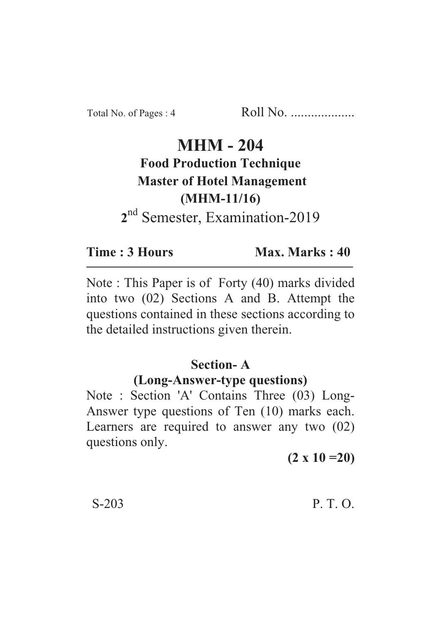# **MHM - 204 Food Production Technique Master of Hotel Management (MHM-11/16) 2** nd Semester, Examination-2019

**Time : 3 Hours Max. Marks : 40** 

Note : This Paper is of Forty (40) marks divided into two (02) Sections A and B. Attempt the questions contained in these sections according to the detailed instructions given therein.

#### **Section- A**

#### **(Long-Answer-type questions)**

Note : Section 'A' Contains Three (03) Long-Answer type questions of Ten (10) marks each. Learners are required to answer any two (02) questions only.

**(2 x 10 =20)**

 $S-203$  P. T. O.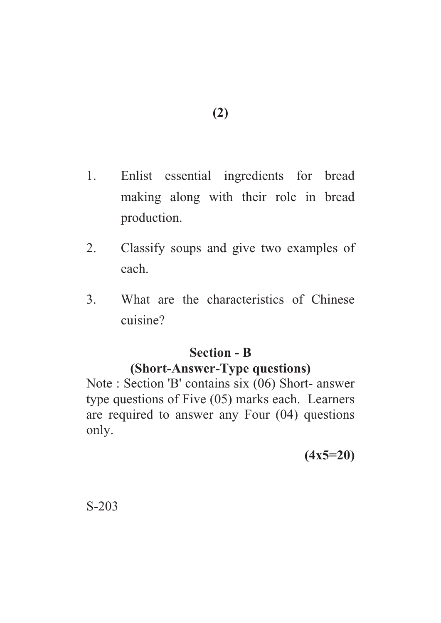- **(2)**
- 1. Enlist essential ingredients for bread making along with their role in bread production.
- 2. Classify soups and give two examples of each.
- 3. What are the characteristics of Chinese cuisine?

### **Section - B**

## **(Short-Answer-Type questions)**

Note : Section 'B' contains six (06) Short- answer type questions of Five (05) marks each. Learners are required to answer any Four (04) questions only.

**(4x5=20)**

S-203